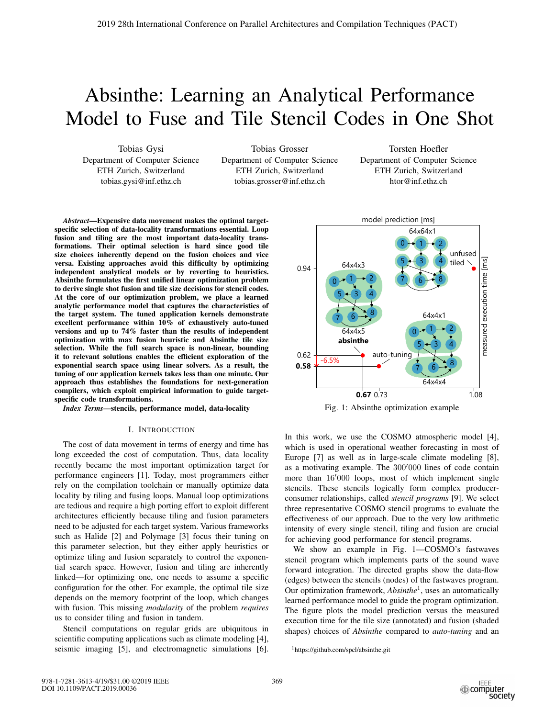# Absinthe: Learning an Analytical Performance Model to Fuse and Tile Stencil Codes in One Shot

Tobias Gysi Department of Computer Science ETH Zurich, Switzerland tobias.gysi@inf.ethz.ch

Tobias Grosser Department of Computer Science ETH Zurich, Switzerland tobias.grosser@inf.ethz.ch

Torsten Hoefler Department of Computer Science ETH Zurich, Switzerland htor@inf.ethz.ch

*Abstract*—Expensive data movement makes the optimal targetspecific selection of data-locality transformations essential. Loop fusion and tiling are the most important data-locality transformations. Their optimal selection is hard since good tile size choices inherently depend on the fusion choices and vice versa. Existing approaches avoid this difficulty by optimizing independent analytical models or by reverting to heuristics. Absinthe formulates the first unified linear optimization problem to derive single shot fusion and tile size decisions for stencil codes. At the core of our optimization problem, we place a learned analytic performance model that captures the characteristics of the target system. The tuned application kernels demonstrate excellent performance within 10% of exhaustively auto-tuned versions and up to 74% faster than the results of independent optimization with max fusion heuristic and Absinthe tile size selection. While the full search space is non-linear, bounding it to relevant solutions enables the efficient exploration of the exponential search space using linear solvers. As a result, the tuning of our application kernels takes less than one minute. Our approach thus establishes the foundations for next-generation compilers, which exploit empirical information to guide targetspecific code transformations.

*Index Terms*—stencils, performance model, data-locality

## I. INTRODUCTION

The cost of data movement in terms of energy and time has long exceeded the cost of computation. Thus, data locality recently became the most important optimization target for performance engineers [1]. Today, most programmers either rely on the compilation toolchain or manually optimize data locality by tiling and fusing loops. Manual loop optimizations are tedious and require a high porting effort to exploit different architectures efficiently because tiling and fusion parameters need to be adjusted for each target system. Various frameworks such as Halide [2] and Polymage [3] focus their tuning on this parameter selection, but they either apply heuristics or optimize tiling and fusion separately to control the exponential search space. However, fusion and tiling are inherently linked—for optimizing one, one needs to assume a specific configuration for the other. For example, the optimal tile size depends on the memory footprint of the loop, which changes with fusion. This missing *modularity* of the problem *requires* us to consider tiling and fusion in tandem.

Stencil computations on regular grids are ubiquitous in scientific computing applications such as climate modeling [4], seismic imaging [5], and electromagnetic simulations [6].



Fig. 1: Absinthe optimization example

In this work, we use the COSMO atmospheric model [4], which is used in operational weather forecasting in most of Europe [7] as well as in large-scale climate modeling [8], as a motivating example. The  $300'000$  lines of code contain<br>more than  $16'000$  loops, most of which implement single more than 16'000 loops, most of which implement single<br>stencils. These stencils logically form complex producerstencils. These stencils logically form complex producerconsumer relationships, called *stencil programs* [9]. We select three representative COSMO stencil programs to evaluate the effectiveness of our approach. Due to the very low arithmetic intensity of every single stencil, tiling and fusion are crucial for achieving good performance for stencil programs.

We show an example in Fig. 1—COSMO's fastwaves stencil program which implements parts of the sound wave forward integration. The directed graphs show the data-flow (edges) between the stencils (nodes) of the fastwaves program. Our optimization framework, *Absinthe*1, uses an automatically learned performance model to guide the program optimization. The figure plots the model prediction versus the measured execution time for the tile size (annotated) and fusion (shaded shapes) choices of *Absinthe* compared to *auto-tuning* and an

<sup>1</sup>https://github.com/spcl/absinthe.git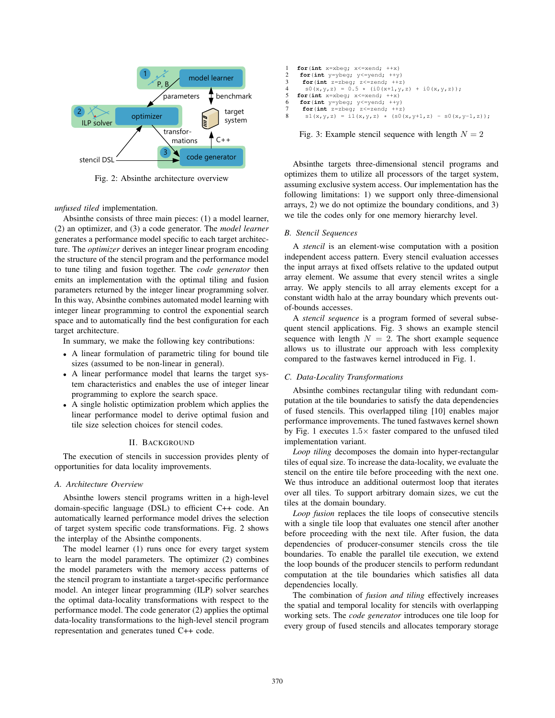

Fig. 2: Absinthe architecture overview

*unfused tiled* implementation.

Absinthe consists of three main pieces: (1) a model learner, (2) an optimizer, and (3) a code generator. The *model learner* generates a performance model specific to each target architecture. The *optimizer* derives an integer linear program encoding the structure of the stencil program and the performance model to tune tiling and fusion together. The *code generator* then emits an implementation with the optimal tiling and fusion parameters returned by the integer linear programming solver. In this way, Absinthe combines automated model learning with integer linear programming to control the exponential search space and to automatically find the best configuration for each target architecture.

In summary, we make the following key contributions:

- A linear formulation of parametric tiling for bound tile sizes (assumed to be non-linear in general).
- A linear performance model that learns the target system characteristics and enables the use of integer linear programming to explore the search space.
- A single holistic optimization problem which applies the linear performance model to derive optimal fusion and tile size selection choices for stencil codes.

## II. BACKGROUND

The execution of stencils in succession provides plenty of opportunities for data locality improvements.

# *A. Architecture Overview*

Absinthe lowers stencil programs written in a high-level domain-specific language (DSL) to efficient C++ code. An automatically learned performance model drives the selection of target system specific code transformations. Fig. 2 shows the interplay of the Absinthe components.

The model learner (1) runs once for every target system to learn the model parameters. The optimizer (2) combines the model parameters with the memory access patterns of the stencil program to instantiate a target-specific performance model. An integer linear programming (ILP) solver searches the optimal data-locality transformations with respect to the performance model. The code generator (2) applies the optimal data-locality transformations to the high-level stencil program representation and generates tuned C++ code.

| 1  | for $(int x = x beq; x \leq x end; ++x)$               |
|----|--------------------------------------------------------|
| 2  | for $(int y = y beq; y \leq y end; ++y)$               |
| 3  | for $(int z = z$ beq; $z \le z$ end; $++z)$            |
| 4  | $SO(x,y,z) = 0.5 \times (i0(x+1,y,z) + i0(x,y,z));$    |
| 5. | $for(int x = x beq; x \leq x end; ++x)$                |
| 6. | for $(int y = y beq; y \leq y end; ++y)$               |
|    | for $(int z = z \text{beq}; z \leq z \text{end}; ++z)$ |
| 8. | $s1(x,y,z) = i1(x,y,z) * (s0(x,y+1,z) - s0(x,y-1,z));$ |
|    |                                                        |

Fig. 3: Example stencil sequence with length  $N = 2$ 

Absinthe targets three-dimensional stencil programs and optimizes them to utilize all processors of the target system, assuming exclusive system access. Our implementation has the following limitations: 1) we support only three-dimensional arrays, 2) we do not optimize the boundary conditions, and 3) we tile the codes only for one memory hierarchy level.

#### *B. Stencil Sequences*

A *stencil* is an element-wise computation with a position independent access pattern. Every stencil evaluation accesses the input arrays at fixed offsets relative to the updated output array element. We assume that every stencil writes a single array. We apply stencils to all array elements except for a constant width halo at the array boundary which prevents outof-bounds accesses.

A *stencil sequence* is a program formed of several subsequent stencil applications. Fig. 3 shows an example stencil sequence with length  $N = 2$ . The short example sequence allows us to illustrate our approach with less complexity compared to the fastwaves kernel introduced in Fig. 1.

#### *C. Data-Locality Transformations*

Absinthe combines rectangular tiling with redundant computation at the tile boundaries to satisfy the data dependencies of fused stencils. This overlapped tiling [10] enables major performance improvements. The tuned fastwaves kernel shown by Fig. 1 executes  $1.5 \times$  faster compared to the unfused tiled implementation variant.

*Loop tiling* decomposes the domain into hyper-rectangular tiles of equal size. To increase the data-locality, we evaluate the stencil on the entire tile before proceeding with the next one. We thus introduce an additional outermost loop that iterates over all tiles. To support arbitrary domain sizes, we cut the tiles at the domain boundary.

*Loop fusion* replaces the tile loops of consecutive stencils with a single tile loop that evaluates one stencil after another before proceeding with the next tile. After fusion, the data dependencies of producer-consumer stencils cross the tile boundaries. To enable the parallel tile execution, we extend the loop bounds of the producer stencils to perform redundant computation at the tile boundaries which satisfies all data dependencies locally.

The combination of *fusion and tiling* effectively increases the spatial and temporal locality for stencils with overlapping working sets. The *code generator* introduces one tile loop for every group of fused stencils and allocates temporary storage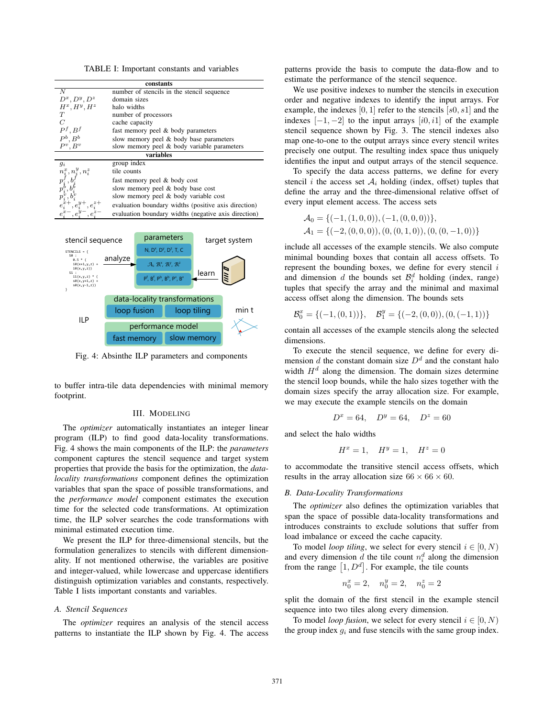TABLE I: Important constants and variables

| constants       |                                                      |  |  |
|-----------------|------------------------------------------------------|--|--|
| N               | number of stencils in the stencil sequence           |  |  |
| $D^x, D^y, D^z$ | domain sizes                                         |  |  |
| $H^x, H^y, H^z$ | halo widths                                          |  |  |
| T               | number of processors                                 |  |  |
| C               | cache capacity                                       |  |  |
| $P^f, B^f$      | fast memory peel & body parameters                   |  |  |
| $P^b$ , $B^b$   | slow memory peel & body base parameters              |  |  |
| $P^v, B^v$      | slow memory peel & body variable parameters          |  |  |
| variables       |                                                      |  |  |
| $g_i$           | group index                                          |  |  |
| $n_i^y, n_i^z$  | tile counts                                          |  |  |
|                 | fast memory peel & body cost                         |  |  |
|                 | slow memory peel & body base cost                    |  |  |
|                 | slow memory peel & body variable cost                |  |  |
|                 | evaluation boundary widths (positive axis direction) |  |  |
|                 | evaluation boundary widths (negative axis direction) |  |  |
|                 |                                                      |  |  |



Fig. 4: Absinthe ILP parameters and components

to buffer intra-tile data dependencies with minimal memory footprint.

### III. MODELING

The *optimizer* automatically instantiates an integer linear program (ILP) to find good data-locality transformations. Fig. 4 shows the main components of the ILP: the *parameters* component captures the stencil sequence and target system properties that provide the basis for the optimization, the *datalocality transformations* component defines the optimization variables that span the space of possible transformations, and the *performance model* component estimates the execution time for the selected code transformations. At optimization time, the ILP solver searches the code transformations with minimal estimated execution time.

We present the ILP for three-dimensional stencils, but the formulation generalizes to stencils with different dimensionality. If not mentioned otherwise, the variables are positive and integer-valued, while lowercase and uppercase identifiers distinguish optimization variables and constants, respectively. Table I lists important constants and variables.

#### *A. Stencil Sequences*

The *optimizer* requires an analysis of the stencil access patterns to instantiate the ILP shown by Fig. 4. The access

patterns provide the basis to compute the data-flow and to estimate the performance of the stencil sequence.

We use positive indexes to number the stencils in execution order and negative indexes to identify the input arrays. For example, the indexes  $[0, 1]$  refer to the stencils  $[s0, s1]$  and the indexes  $[-1, -2]$  to the input arrays  $[i0, i1]$  of the example stencil sequence shown by Fig. 3. The stencil indexes also map one-to-one to the output arrays since every stencil writes precisely one output. The resulting index space thus uniquely identifies the input and output arrays of the stencil sequence.

To specify the data access patterns, we define for every stencil i the access set  $A_i$  holding (index, offset) tuples that define the array and the three-dimensional relative offset of every input element access. The access sets

$$
\mathcal{A}_0 = \{ (-1, (1, 0, 0)), (-1, (0, 0, 0)) \}, \mathcal{A}_1 = \{ (-2, (0, 0, 0)), (0, (0, 1, 0)), (0, (0, -1, 0)) \}
$$

include all accesses of the example stencils. We also compute minimal bounding boxes that contain all access offsets. To represent the bounding boxes, we define for every stencil  $i$ and dimension d the bounds set  $\mathcal{B}_i^d$  holding (index, range) tuples that specify the array and the minimal and maximal access offset along the dimension. The bounds sets

$$
\mathcal{B}_0^x = \{(-1, (0, 1))\}, \quad \mathcal{B}_1^y = \{(-2, (0, 0)), (0, (-1, 1))\}
$$

contain all accesses of the example stencils along the selected dimensions.

To execute the stencil sequence, we define for every dimension d the constant domain size  $D<sup>d</sup>$  and the constant halo width  $H<sup>d</sup>$  along the dimension. The domain sizes determine the stencil loop bounds, while the halo sizes together with the domain sizes specify the array allocation size. For example, we may execute the example stencils on the domain

$$
D^x = 64, \quad D^y = 64, \quad D^z = 60
$$

and select the halo widths

$$
H^x = 1, \quad H^y = 1, \quad H^z = 0
$$

to accommodate the transitive stencil access offsets, which results in the array allocation size  $66 \times 66 \times 60$ .

## *B. Data-Locality Transformations*

The *optimizer* also defines the optimization variables that span the space of possible data-locality transformations and introduces constraints to exclude solutions that suffer from load imbalance or exceed the cache capacity.

To model *loop tiling*, we select for every stencil  $i \in [0, N)$ and every dimension  $d$  the tile count  $n_i^d$  along the dimension from the range  $[1, D<sup>d</sup>]$ . For example, the tile counts

$$
n_0^x = 2, \quad n_0^y = 2, \quad n_0^z = 2
$$

split the domain of the first stencil in the example stencil sequence into two tiles along every dimension.

To model *loop fusion*, we select for every stencil  $i \in [0, N)$ the group index  $q_i$  and fuse stencils with the same group index.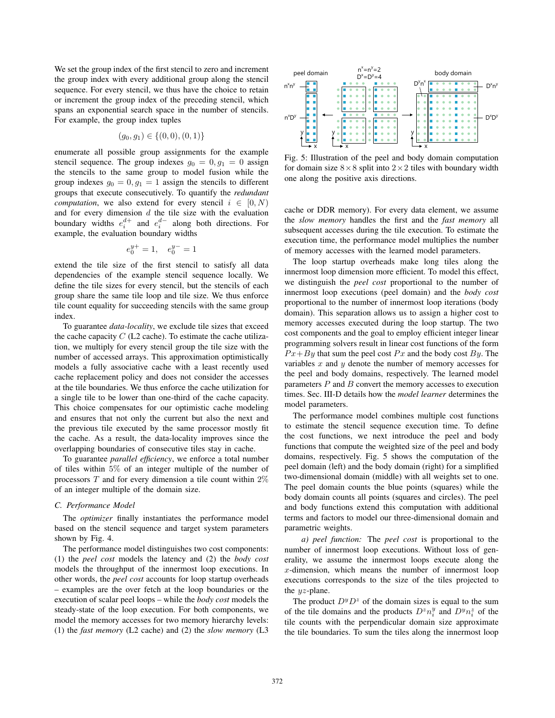We set the group index of the first stencil to zero and increment the group index with every additional group along the stencil sequence. For every stencil, we thus have the choice to retain or increment the group index of the preceding stencil, which spans an exponential search space in the number of stencils. For example, the group index tuples

$$
(g_0, g_1) \in \{(0, 0), (0, 1)\}
$$

enumerate all possible group assignments for the example stencil sequence. The group indexes  $g_0 = 0, g_1 = 0$  assign the stencils to the same group to model fusion while the group indexes  $g_0 = 0, g_1 = 1$  assign the stencils to different groups that execute consecutively. To quantify the *redundant computation*, we also extend for every stencil  $i \in [0, N)$ and for every dimension  $d$  the tile size with the evaluation boundary widths  $e_i^{d+}$  and  $e_i^{d-}$  along both directions. For example, the evaluation boundary widths

$$
e_0^{y+} = 1, \quad e_0^{y-} = 1
$$

extend the tile size of the first stencil to satisfy all data dependencies of the example stencil sequence locally. We define the tile sizes for every stencil, but the stencils of each group share the same tile loop and tile size. We thus enforce tile count equality for succeeding stencils with the same group index.

To guarantee *data-locality*, we exclude tile sizes that exceed the cache capacity  $C$  (L2 cache). To estimate the cache utilization, we multiply for every stencil group the tile size with the number of accessed arrays. This approximation optimistically models a fully associative cache with a least recently used cache replacement policy and does not consider the accesses at the tile boundaries. We thus enforce the cache utilization for a single tile to be lower than one-third of the cache capacity. This choice compensates for our optimistic cache modeling and ensures that not only the current but also the next and the previous tile executed by the same processor mostly fit the cache. As a result, the data-locality improves since the overlapping boundaries of consecutive tiles stay in cache.

To guarantee *parallel efficiency*, we enforce a total number of tiles within 5% of an integer multiple of the number of processors  $T$  and for every dimension a tile count within  $2\%$ of an integer multiple of the domain size.

# *C. Performance Model*

The *optimizer* finally instantiates the performance model based on the stencil sequence and target system parameters shown by Fig. 4.

The performance model distinguishes two cost components: (1) the *peel cost* models the latency and (2) the *body cost* models the throughput of the innermost loop executions. In other words, the *peel cost* accounts for loop startup overheads – examples are the over fetch at the loop boundaries or the execution of scalar peel loops – while the *body cost* models the steady-state of the loop execution. For both components, we model the memory accesses for two memory hierarchy levels: (1) the *fast memory* (L2 cache) and (2) the *slow memory* (L3



Fig. 5: Illustration of the peel and body domain computation for domain size  $8 \times 8$  split into  $2 \times 2$  tiles with boundary width one along the positive axis directions.

cache or DDR memory). For every data element, we assume the *slow memory* handles the first and the *fast memory* all subsequent accesses during the tile execution. To estimate the execution time, the performance model multiplies the number of memory accesses with the learned model parameters.

The loop startup overheads make long tiles along the innermost loop dimension more efficient. To model this effect, we distinguish the *peel cost* proportional to the number of innermost loop executions (peel domain) and the *body cost* proportional to the number of innermost loop iterations (body domain). This separation allows us to assign a higher cost to memory accesses executed during the loop startup. The two cost components and the goal to employ efficient integer linear programming solvers result in linear cost functions of the form  $Px + By$  that sum the peel cost  $Px$  and the body cost  $By$ . The variables  $x$  and  $y$  denote the number of memory accesses for the peel and body domains, respectively. The learned model parameters  $P$  and  $B$  convert the memory accesses to execution times. Sec. III-D details how the *model learner* determines the model parameters.

The performance model combines multiple cost functions to estimate the stencil sequence execution time. To define the cost functions, we next introduce the peel and body functions that compute the weighted size of the peel and body domains, respectively. Fig. 5 shows the computation of the peel domain (left) and the body domain (right) for a simplified two-dimensional domain (middle) with all weights set to one. The peel domain counts the blue points (squares) while the body domain counts all points (squares and circles). The peel and body functions extend this computation with additional terms and factors to model our three-dimensional domain and parametric weights.

*a) peel function:* The *peel cost* is proportional to the number of innermost loop executions. Without loss of generality, we assume the innermost loops execute along the x-dimension, which means the number of innermost loop executions corresponds to the size of the tiles projected to the yz-plane.

The product  $D^{\gamma}D^{\gamma}$  of the domain sizes is equal to the sum of the tile domains and the products  $D^z n_i^y$  and  $D^y n_i^z$  of the tile counts with the perpendicular domain size approximate the tile boundaries. To sum the tiles along the innermost loop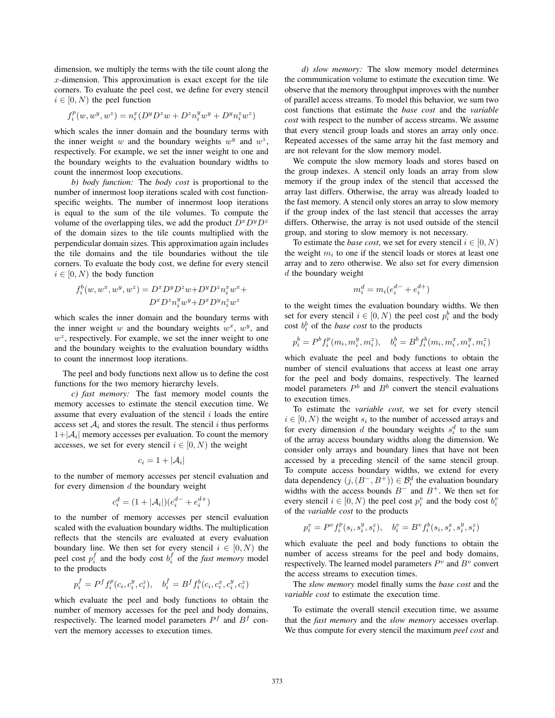dimension, we multiply the terms with the tile count along the  $x$ -dimension. This approximation is exact except for the tile corners. To evaluate the peel cost, we define for every stencil  $i \in [0, N)$  the peel function

$$
f_i^p(w, w^y, w^z) = n_i^x (D^y D^z w + D^z n_i^y w^y + D^y n_i^z w^z)
$$

which scales the inner domain and the boundary terms with the inner weight w and the boundary weights  $w^y$  and  $w^z$ , respectively. For example, we set the inner weight to one and the boundary weights to the evaluation boundary widths to count the innermost loop executions.

*b) body function:* The *body cost* is proportional to the number of innermost loop iterations scaled with cost functionspecific weights. The number of innermost loop iterations is equal to the sum of the tile volumes. To compute the volume of the overlapping tiles, we add the product  $D^x D^y D^z$ of the domain sizes to the tile counts multiplied with the perpendicular domain sizes. This approximation again includes the tile domains and the tile boundaries without the tile corners. To evaluate the body cost, we define for every stencil  $i \in [0, N)$  the body function

$$
\begin{aligned} f_i^b(w,w^x,w^y,w^z) &= D^xD^yD^zw+D^yD^zn_i^xw^x +\\ &D^xD^zn_i^yw^y+D^xD^yn_i^zw^z \end{aligned}
$$

which scales the inner domain and the boundary terms with the inner weight w and the boundary weights  $w^x$ ,  $w^y$ , and  $w^z$ , respectively. For example, we set the inner weight to one and the boundary weights to the evaluation boundary widths to count the innermost loop iterations.

The peel and body functions next allow us to define the cost functions for the two memory hierarchy levels.

*c) fast memory:* The fast memory model counts the memory accesses to estimate the stencil execution time. We assume that every evaluation of the stencil  $i$  loads the entire access set  $A_i$  and stores the result. The stencil i thus performs  $1+|\mathcal{A}_i|$  memory accesses per evaluation. To count the memory accesses, we set for every stencil  $i \in [0, N)$  the weight

$$
c_i=1+|\mathcal{A}_i|
$$

to the number of memory accesses per stencil evaluation and for every dimension  $d$  the boundary weight

$$
c_i^d = (1 + |\mathcal{A}_i|)(e_i^{d-} + e_i^{d+})
$$

to the number of memory accesses per stencil evaluation scaled with the evaluation boundary widths. The multiplication reflects that the stencils are evaluated at every evaluation boundary line. We then set for every stencil  $i \in [0, N)$  the peel cost  $p_i^f$  and the body cost  $b_i^f$  of the *fast memory* model to the products

$$
p_i^f = P^f f_i^p(c_i, c_i^y, c_i^z), \quad b_i^f = B^f f_i^b(c_i, c_i^x, c_i^y, c_i^z)
$$

which evaluate the peel and body functions to obtain the number of memory accesses for the peel and body domains, respectively. The learned model parameters  $P<sup>f</sup>$  and  $B<sup>f</sup>$  convert the memory accesses to execution times.

*d) slow memory:* The slow memory model determines the communication volume to estimate the execution time. We observe that the memory throughput improves with the number of parallel access streams. To model this behavior, we sum two cost functions that estimate the *base cost* and the *variable cost* with respect to the number of access streams. We assume that every stencil group loads and stores an array only once. Repeated accesses of the same array hit the fast memory and are not relevant for the slow memory model.

We compute the slow memory loads and stores based on the group indexes. A stencil only loads an array from slow memory if the group index of the stencil that accessed the array last differs. Otherwise, the array was already loaded to the fast memory. A stencil only stores an array to slow memory if the group index of the last stencil that accesses the array differs. Otherwise, the array is not used outside of the stencil group, and storing to slow memory is not necessary.

To estimate the *base cost*, we set for every stencil  $i \in [0, N)$ the weight  $m_i$  to one if the stencil loads or stores at least one array and to zero otherwise. We also set for every dimension d the boundary weight

$$
m_i^d = m_i(e_i^{d-} + e_i^{d+})
$$

to the weight times the evaluation boundary widths. We then set for every stencil  $i \in [0, N)$  the peel cost  $p_i^b$  and the body cost  $h^b$  of the *hase cost* to the products cost  $b_i^b$  of the *base cost* to the products

$$
p_i^b = P^b f_i^p(m_i, m_i^y, m_i^z), \quad b_i^b = B^b f_i^b(m_i, m_i^x, m_i^y, m_i^z)
$$

which evaluate the peel and body functions to obtain the number of stencil evaluations that access at least one array for the peel and body domains, respectively. The learned model parameters  $P<sup>b</sup>$  and  $B<sup>b</sup>$  convert the stencil evaluations to execution times.

To estimate the *variable cost*, we set for every stencil  $i \in [0, N)$  the weight  $s_i$  to the number of accessed arrays and for every dimension d the boundary weights  $s_i^d$  to the sum of the array access boundary widths along the dimension. We consider only arrays and boundary lines that have not been accessed by a preceding stencil of the same stencil group. To compute access boundary widths, we extend for every data dependency  $(j,(B^-,B^+)) \in \mathcal{B}_i^d$  the evaluation boundary<br>widths with the access bounds  $B^-$  and  $B^+$ . We then set for widths with the access bounds  $B^-$  and  $B^+$ . We then set for every stencil  $i \in [0, N)$  the peel cost  $p_i^v$  and the body cost  $b_i^v$  of the variable cost to the products of the *variable cost* to the products

$$
p_i^v = P^v f_i^p(s_i, s_i^y, s_i^z), \quad b_i^v = B^v f_i^b(s_i, s_i^x, s_i^y, s_i^z)
$$

which evaluate the peel and body functions to obtain the number of access streams for the peel and body domains, respectively. The learned model parameters  $P<sup>v</sup>$  and  $B<sup>v</sup>$  convert the access streams to execution times.

The *slow memory* model finally sums the *base cost* and the *variable cost* to estimate the execution time.

To estimate the overall stencil execution time, we assume that the *fast memory* and the *slow memory* accesses overlap. We thus compute for every stencil the maximum *peel cost* and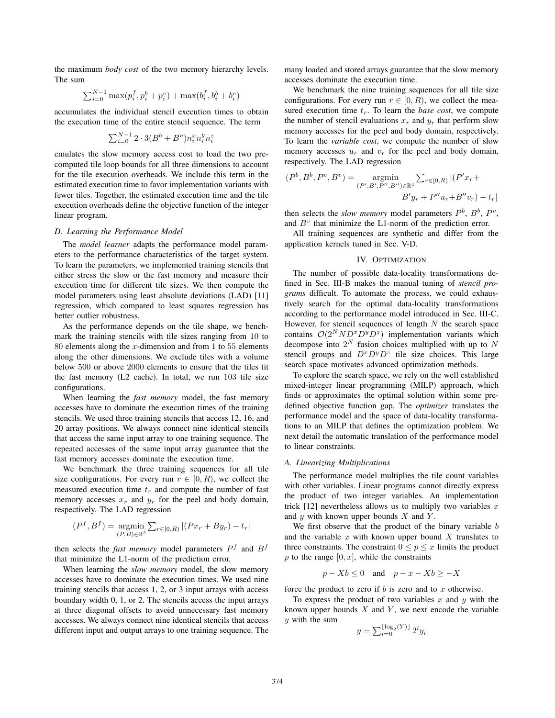the maximum *body cost* of the two memory hierarchy levels. The sum

$$
\sum_{i=0}^{N-1} \max(p_i^f, p_i^b + p_i^v) + \max(b_i^f, b_i^b + b_i^v)
$$

accumulates the individual stencil execution times to obtain the execution time of the entire stencil sequence. The term

$$
\sum_{i=0}^{N-1} 2 \cdot 3(B^b + B^v) n_i^x n_i^y n_i^z
$$

emulates the slow memory access cost to load the two precomputed tile loop bounds for all three dimensions to account for the tile execution overheads. We include this term in the estimated execution time to favor implementation variants with fewer tiles. Together, the estimated execution time and the tile execution overheads define the objective function of the integer linear program.

## *D. Learning the Performance Model*

The *model learner* adapts the performance model parameters to the performance characteristics of the target system. To learn the parameters, we implemented training stencils that either stress the slow or the fast memory and measure their execution time for different tile sizes. We then compute the model parameters using least absolute deviations (LAD) [11] regression, which compared to least squares regression has better outlier robustness.

As the performance depends on the tile shape, we benchmark the training stencils with tile sizes ranging from 10 to 80 elements along the x-dimension and from 1 to 55 elements along the other dimensions. We exclude tiles with a volume below 500 or above 2000 elements to ensure that the tiles fit the fast memory (L2 cache). In total, we run 103 tile size configurations.

When learning the *fast memory* model, the fast memory accesses have to dominate the execution times of the training stencils. We used three training stencils that access 12, 16, and 20 array positions. We always connect nine identical stencils that access the same input array to one training sequence. The repeated accesses of the same input array guarantee that the fast memory accesses dominate the execution time.

We benchmark the three training sequences for all tile size configurations. For every run  $r \in [0, R)$ , we collect the measured execution time  $t_r$  and compute the number of fast memory accesses  $x_r$  and  $y_r$  for the peel and body domain, respectively. The LAD regression

$$
(P^f, B^f) = \underset{(P,B)\in\mathbb{R}^2}{\text{argmin}} \sum_{r \in [0,R)} |(Px_r + By_r) - t_r|
$$

then selects the *fast memory* model parameters  $P<sup>f</sup>$  and  $B<sup>f</sup>$ that minimize the L1-norm of the prediction error.

When learning the *slow memory* model, the slow memory accesses have to dominate the execution times. We used nine training stencils that access 1, 2, or 3 input arrays with access boundary width 0, 1, or 2. The stencils access the input arrays at three diagonal offsets to avoid unnecessary fast memory accesses. We always connect nine identical stencils that access different input and output arrays to one training sequence. The many loaded and stored arrays guarantee that the slow memory accesses dominate the execution time.

We benchmark the nine training sequences for all tile size configurations. For every run  $r \in [0, R)$ , we collect the measured execution time  $t_r$ . To learn the *base cost*, we compute the number of stencil evaluations  $x_r$  and  $y_r$  that perform slow memory accesses for the peel and body domain, respectively. To learn the *variable cost*, we compute the number of slow memory accesses  $u_r$  and  $v_r$  for the peel and body domain, respectively. The LAD regression

$$
(P^b, B^b, P^v, B^v) = \operatorname*{argmin}_{(P', B', P'', B'') \in \mathbb{R}^4} \sum_{r \in [0, R)} |(P'x_r + P''x_r + B''y_r)|
$$
  

$$
B'y_r + P''x_r + B''y_r) - t_r|
$$

then selects the *slow memory* model parameters  $P^b$ ,  $B^b$ ,  $P^v$ , and  $B<sup>v</sup>$  that minimize the L1-norm of the prediction error.

All training sequences are synthetic and differ from the application kernels tuned in Sec. V-D.

## IV. OPTIMIZATION

The number of possible data-locality transformations defined in Sec. III-B makes the manual tuning of *stencil programs* difficult. To automate the process, we could exhaustively search for the optimal data-locality transformations according to the performance model introduced in Sec. III-C. However, for stencil sequences of length  $N$  the search space contains  $O(2^NND^xD^z)$  implementation variants which decompose into  $2^N$  fusion choices multiplied with up to N stencil groups and  $D^x D^y D^z$  tile size choices. This large search space motivates advanced optimization methods.

To explore the search space, we rely on the well established mixed-integer linear programming (MILP) approach, which finds or approximates the optimal solution within some predefined objective function gap. The *optimizer* translates the performance model and the space of data-locality transformations to an MILP that defines the optimization problem. We next detail the automatic translation of the performance model to linear constraints.

## *A. Linearizing Multiplications*

The performance model multiplies the tile count variables with other variables. Linear programs cannot directly express the product of two integer variables. An implementation trick  $[12]$  nevertheless allows us to multiply two variables x and  $y$  with known upper bounds  $X$  and  $Y$ .

We first observe that the product of the binary variable  $b$ and the variable  $x$  with known upper bound  $X$  translates to three constraints. The constraint  $0 \le p \le x$  limits the product  $p$  to the range  $[0, x]$ , while the constraints

$$
p - Xb \le 0 \quad \text{and} \quad p - x - Xb \ge -X
$$

force the product to zero if  $b$  is zero and to  $x$  otherwise.

To express the product of two variables  $x$  and  $y$  with the known upper bounds  $X$  and  $Y$ , we next encode the variable  $y$  with the sum

$$
y = \sum_{i=0}^{\lfloor \log_2(Y) \rfloor} 2^i y_i
$$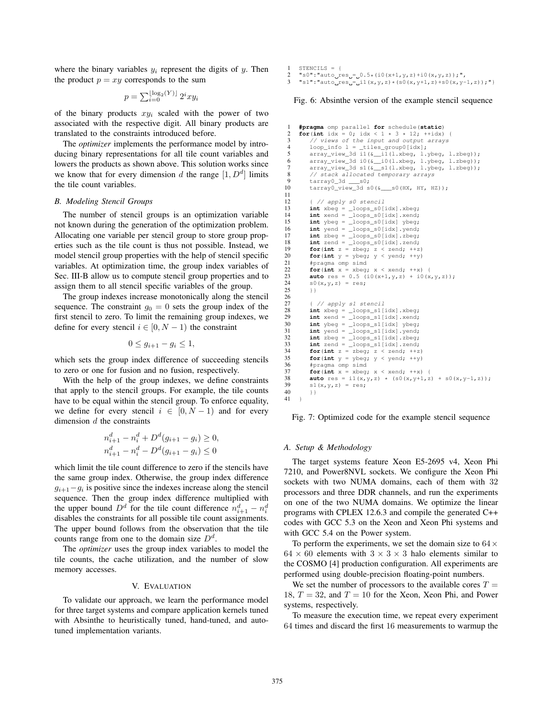where the binary variables  $y_i$  represent the digits of y. Then the product  $p = xy$  corresponds to the sum

$$
p = \sum_{i=0}^{\lfloor \log_2(Y) \rfloor} 2^i xy_i
$$

of the binary products  $xy_i$  scaled with the power of two associated with the respective digit. All binary products are translated to the constraints introduced before.

The *optimizer* implements the performance model by introducing binary representations for all tile count variables and lowers the products as shown above. This solution works since we know that for every dimension d the range  $[1, D<sup>d</sup>]$  limits the tile count variables.

## *B. Modeling Stencil Groups*

The number of stencil groups is an optimization variable not known during the generation of the optimization problem. Allocating one variable per stencil group to store group properties such as the tile count is thus not possible. Instead, we model stencil group properties with the help of stencil specific variables. At optimization time, the group index variables of Sec. III-B allow us to compute stencil group properties and to assign them to all stencil specific variables of the group.

The group indexes increase monotonically along the stencil sequence. The constraint  $g_0 = 0$  sets the group index of the first stencil to zero. To limit the remaining group indexes, we define for every stencil  $i \in [0, N - 1)$  the constraint

$$
0 \le g_{i+1} - g_i \le 1,
$$

which sets the group index difference of succeeding stencils to zero or one for fusion and no fusion, respectively.

With the help of the group indexes, we define constraints that apply to the stencil groups. For example, the tile counts have to be equal within the stencil group. To enforce equality, we define for every stencil  $i \in [0, N-1)$  and for every dimension  $d$  the constraints

$$
n_{i+1}^d - n_i^d + D^d(g_{i+1} - g_i) \ge 0,
$$
  

$$
n_{i+1}^d - n_i^d - D^d(g_{i+1} - g_i) \le 0
$$

which limit the tile count difference to zero if the stencils have the same group index. Otherwise, the group index difference  $g_{i+1}-g_i$  is positive since the indexes increase along the stencil sequence. Then the group index difference multiplied with the upper bound  $D^d$  for the tile count difference  $n_{i+1}^d - n_i^d$ <br>disables the constraints for all possible tile count assignments disables the constraints for all possible tile count assignments. The upper bound follows from the observation that the tile counts range from one to the domain size  $D<sup>d</sup>$ .

The *optimizer* uses the group index variables to model the tile counts, the cache utilization, and the number of slow memory accesses.

#### V. EVALUATION

To validate our approach, we learn the performance model for three target systems and compare application kernels tuned with Absinthe to heuristically tuned, hand-tuned, and autotuned implementation variants.

1 STENCILS  $=$  {

2 "s0":"auto\_res =  $0.5*(10(x+1, y, z)+10(x, y, z));$ ",<br>3 "s1":"auto\_res =  $11(x, y, z)*(s0(x, y+1, z)+s0(x, y-1))$  $"s1" : "auto\_res__ i1(x,y,z)*(s0(x,y+1,z)+s0(x,y-1,z));"$ 

#### Fig. 6: Absinthe version of the example stencil sequence

```
#pragma omp parallel for schedule(static)<br>
for (int idy = 0; idy < 1 + 3 + 12; ++idy)
 2 for(\text{int} \text{ idx} = 0; \text{idx} < 1 \times 3 \times 12; ++idx) {<br>3 // views of the input and output arrays
 3 // views of the input and output arrays<br>4 loop info l = tiles group0 [idx]:
 4 loop_info l = _tiles_group0[idx];<br>5 array yiew 3d i1(& i1(1.xbeg. 1.
  5 array_view_3d i1(&__i1(l.xbeg, l.ybeg, l.zbeg));
6 array_view_3d i0(&__i0(l.xbeg, l.ybeg, l.zbeg));
 7 array_view_3d s1(\frac{\&}{} s1(l.xbeg, l.ybeg, l.zbeg));<br>8 // stack allocated temporary arrays
 8 // stack allocated temporary arrays<br>9 tarray0 3d s0
9 \arctan 3d = s0;<br>10 \tan 3d starray0\_view_3d s0(\&\_\s0(HX, HY, HZ));
12 \{ // apply s0 stencil<br>13 int xbeg = loops s01
13 int xbeg = loops_s0[idx].xbeg;<br>14 int xend = loops s0[idx].xend;
14 int xend = _loops_s0[idx].xend;<br>15 int ybeg = loops s0[idx] ybeg;
15 int ybeg = \frac{100}{} loops_s0[idx] ybeg;
16 int yend = _loops_s0[idx].yend;<br>17 int zbeg = loops s0[idx].zbeg;
17 int zbeg = _loops_s0[idx].zbeg;<br>18 int zend = loops s0[idx].zend;
19 for (int z = z \log z \approx z and; +z)
19 for(int z = z \text{beg}; z < z \text{end}; ++z)<br>20 for(int y = y \text{beg}; y < y \text{end}; ++y)<br>21 foragma omn simd
21 #pragma omp sime<br>22 for (int x = x here
22 for(int x = x \text{beg}; x < x \text{end}; ++x) {<br>23 auto res = 0.5 (i0(x+1, y, z) + i0(x23 auto res = 0.5 (i0(x+1, y, z) + i0(x, y, z));<br>24 s0(x,y,z) = res;24 s0(x, y, z) = res;<br>25 }}
              {}^{3}27 { // apply s1 stencil<br>28 int xbeg = loops s1[
28 int xbeg = \frac{1}{29} int xend = \frac{1}{29} int xend = \frac{1}{29} int xend = \frac{1}{29} \frac{1}{29} int \frac{1}{29} \frac{1}{29} \frac{1}{29} \frac{1}{29} \frac{1}{29} \frac{1}{29} \frac{1}{29} \frac{1}{29} \frac{1}{29} \frac{1}{229 int xend = \frac{100}{} 11[idx].xend;<br>30 int ybeg = \frac{100}{} 100ps s1[idx] ybeg;
30 int ybeg = \text{loops_s1}[idx] ybeg;<br>31 int yend = \text{loops_s1}[idx] yend;
32 int z \geq 2 int z \geq 1 [idx].z \geq 332 int zbeg = _loops_s1[idx].zbeg;<br>33 int zend = _loops_s1[idx].zend;<br>34 for(int z = zbeg; z < zend; ++z;
34 for(int z = z \text{beg}; z < z \text{end}; ++z)<br>35 for(int y = v \text{bar} y < y \text{end}; ++y)
35 for(int y = y \text{beg}; y < y \text{end}; ++y)<br>36 #pragma omp simd
36 #pragma omp simd<br>37 for (int x = x beg
37 for(int x = x \text{beg}; x < x \text{end}; ++x) {<br>38 auto res = i1(x, y, z) * (s0(x, y+1, z)))38 auto res = i1(x,y,z) * (s0(x,y+1,z) + s0(x,y-1,z));<br>39 s1(x,y,z) = res;
39 s1(x,y,z) = res;<br>40 }}
              40 }}
```
Fig. 7: Optimized code for the example stencil sequence

# *A. Setup & Methodology*

 $\frac{11}{12}$ 

 $\frac{26}{27}$ 

41 }

The target systems feature Xeon E5-2695 v4, Xeon Phi 7210, and Power8NVL sockets. We configure the Xeon Phi sockets with two NUMA domains, each of them with 32 processors and three DDR channels, and run the experiments on one of the two NUMA domains. We optimize the linear programs with CPLEX 12.6.3 and compile the generated C++ codes with GCC 5.3 on the Xeon and Xeon Phi systems and with GCC 5.4 on the Power system.

To perform the experiments, we set the domain size to  $64 \times$  $64 \times 60$  elements with  $3 \times 3 \times 3$  halo elements similar to the COSMO [4] production configuration. All experiments are performed using double-precision floating-point numbers.

We set the number of processors to the available cores  $T =$ 18,  $T = 32$ , and  $T = 10$  for the Xeon, Xeon Phi, and Power systems, respectively.

To measure the execution time, we repeat every experiment 64 times and discard the first 16 measurements to warmup the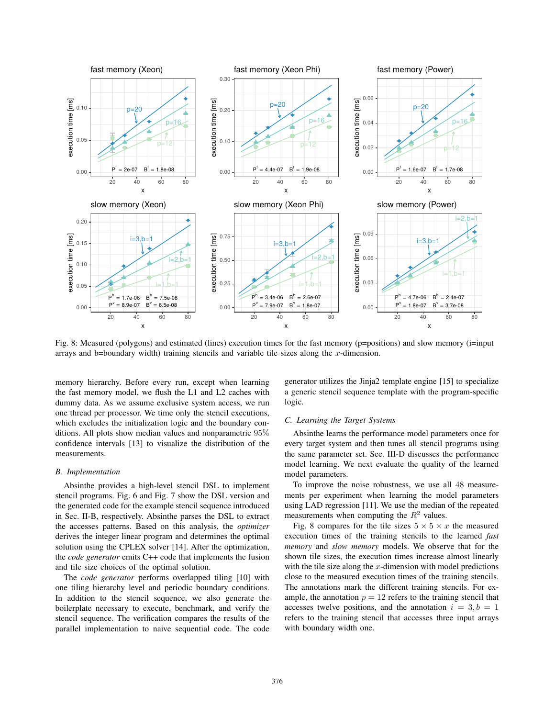

Fig. 8: Measured (polygons) and estimated (lines) execution times for the fast memory (p=positions) and slow memory (i=input arrays and b=boundary width) training stencils and variable tile sizes along the x-dimension.

memory hierarchy. Before every run, except when learning the fast memory model, we flush the L1 and L2 caches with dummy data. As we assume exclusive system access, we run one thread per processor. We time only the stencil executions, which excludes the initialization logic and the boundary conditions. All plots show median values and nonparametric 95% confidence intervals [13] to visualize the distribution of the measurements.

## *B. Implementation*

Absinthe provides a high-level stencil DSL to implement stencil programs. Fig. 6 and Fig. 7 show the DSL version and the generated code for the example stencil sequence introduced in Sec. II-B, respectively. Absinthe parses the DSL to extract the accesses patterns. Based on this analysis, the *optimizer* derives the integer linear program and determines the optimal solution using the CPLEX solver [14]. After the optimization, the *code generator* emits C++ code that implements the fusion and tile size choices of the optimal solution.

The *code generator* performs overlapped tiling [10] with one tiling hierarchy level and periodic boundary conditions. In addition to the stencil sequence, we also generate the boilerplate necessary to execute, benchmark, and verify the stencil sequence. The verification compares the results of the parallel implementation to naive sequential code. The code generator utilizes the Jinja2 template engine [15] to specialize a generic stencil sequence template with the program-specific logic.

#### *C. Learning the Target Systems*

Absinthe learns the performance model parameters once for every target system and then tunes all stencil programs using the same parameter set. Sec. III-D discusses the performance model learning. We next evaluate the quality of the learned model parameters.

To improve the noise robustness, we use all 48 measurements per experiment when learning the model parameters using LAD regression [11]. We use the median of the repeated measurements when computing the  $R^2$  values.

Fig. 8 compares for the tile sizes  $5 \times 5 \times x$  the measured execution times of the training stencils to the learned *fast memory* and *slow memory* models. We observe that for the shown tile sizes, the execution times increase almost linearly with the tile size along the  $x$ -dimension with model predictions close to the measured execution times of the training stencils. The annotations mark the different training stencils. For example, the annotation  $p = 12$  refers to the training stencil that accesses twelve positions, and the annotation  $i = 3, b = 1$ refers to the training stencil that accesses three input arrays with boundary width one.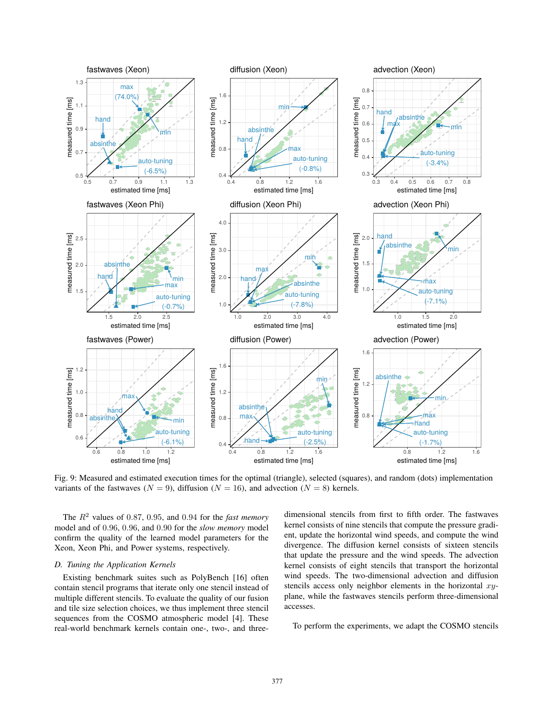

Fig. 9: Measured and estimated execution times for the optimal (triangle), selected (squares), and random (dots) implementation variants of the fastwaves ( $N = 9$ ), diffusion ( $N = 16$ ), and advection ( $N = 8$ ) kernels.

The  $R<sup>2</sup>$  values of 0.87, 0.95, and 0.94 for the *fast memory* model and of 0.96, 0.96, and 0.90 for the *slow memory* model confirm the quality of the learned model parameters for the Xeon, Xeon Phi, and Power systems, respectively.

#### *D. Tuning the Application Kernels*

Existing benchmark suites such as PolyBench [16] often contain stencil programs that iterate only one stencil instead of multiple different stencils. To evaluate the quality of our fusion and tile size selection choices, we thus implement three stencil sequences from the COSMO atmospheric model [4]. These real-world benchmark kernels contain one-, two-, and threedimensional stencils from first to fifth order. The fastwaves kernel consists of nine stencils that compute the pressure gradient, update the horizontal wind speeds, and compute the wind divergence. The diffusion kernel consists of sixteen stencils that update the pressure and the wind speeds. The advection kernel consists of eight stencils that transport the horizontal wind speeds. The two-dimensional advection and diffusion stencils access only neighbor elements in the horizontal  $xy$ plane, while the fastwaves stencils perform three-dimensional accesses.

To perform the experiments, we adapt the COSMO stencils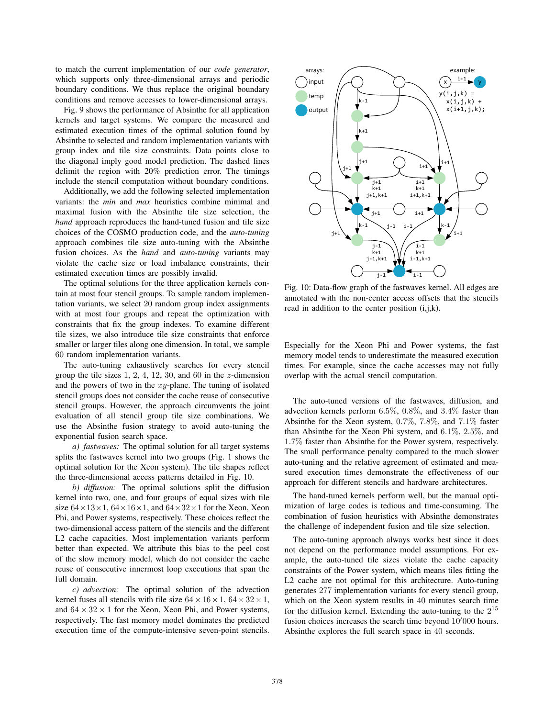to match the current implementation of our *code generator*, which supports only three-dimensional arrays and periodic boundary conditions. We thus replace the original boundary conditions and remove accesses to lower-dimensional arrays.

Fig. 9 shows the performance of Absinthe for all application kernels and target systems. We compare the measured and estimated execution times of the optimal solution found by Absinthe to selected and random implementation variants with group index and tile size constraints. Data points close to the diagonal imply good model prediction. The dashed lines delimit the region with 20% prediction error. The timings include the stencil computation without boundary conditions.

Additionally, we add the following selected implementation variants: the *min* and *max* heuristics combine minimal and maximal fusion with the Absinthe tile size selection, the *hand* approach reproduces the hand-tuned fusion and tile size choices of the COSMO production code, and the *auto-tuning* approach combines tile size auto-tuning with the Absinthe fusion choices. As the *hand* and *auto-tuning* variants may violate the cache size or load imbalance constraints, their estimated execution times are possibly invalid.

The optimal solutions for the three application kernels contain at most four stencil groups. To sample random implementation variants, we select 20 random group index assignments with at most four groups and repeat the optimization with constraints that fix the group indexes. To examine different tile sizes, we also introduce tile size constraints that enforce smaller or larger tiles along one dimension. In total, we sample 60 random implementation variants.

The auto-tuning exhaustively searches for every stencil group the tile sizes  $1, 2, 4, 12, 30,$  and  $60$  in the z-dimension and the powers of two in the  $xy$ -plane. The tuning of isolated stencil groups does not consider the cache reuse of consecutive stencil groups. However, the approach circumvents the joint evaluation of all stencil group tile size combinations. We use the Absinthe fusion strategy to avoid auto-tuning the exponential fusion search space.

*a) fastwaves:* The optimal solution for all target systems splits the fastwaves kernel into two groups (Fig. 1 shows the optimal solution for the Xeon system). The tile shapes reflect the three-dimensional access patterns detailed in Fig. 10.

*b) diffusion:* The optimal solutions split the diffusion kernel into two, one, and four groups of equal sizes with tile size  $64 \times 13 \times 1$ ,  $64 \times 16 \times 1$ , and  $64 \times 32 \times 1$  for the Xeon, Xeon Phi, and Power systems, respectively. These choices reflect the two-dimensional access pattern of the stencils and the different L2 cache capacities. Most implementation variants perform better than expected. We attribute this bias to the peel cost of the slow memory model, which do not consider the cache reuse of consecutive innermost loop executions that span the full domain.

*c) advection:* The optimal solution of the advection kernel fuses all stencils with tile size  $64 \times 16 \times 1$ ,  $64 \times 32 \times 1$ , and  $64 \times 32 \times 1$  for the Xeon, Xeon Phi, and Power systems, respectively. The fast memory model dominates the predicted execution time of the compute-intensive seven-point stencils.



Fig. 10: Data-flow graph of the fastwaves kernel. All edges are annotated with the non-center access offsets that the stencils read in addition to the center position (i,j,k).

Especially for the Xeon Phi and Power systems, the fast memory model tends to underestimate the measured execution times. For example, since the cache accesses may not fully overlap with the actual stencil computation.

The auto-tuned versions of the fastwaves, diffusion, and advection kernels perform 6.5%, 0.8%, and 3.4% faster than Absinthe for the Xeon system, 0.7%, 7.8%, and 7.1% faster than Absinthe for the Xeon Phi system, and 6.1%, 2.5%, and 1.7% faster than Absinthe for the Power system, respectively. The small performance penalty compared to the much slower auto-tuning and the relative agreement of estimated and measured execution times demonstrate the effectiveness of our approach for different stencils and hardware architectures.

The hand-tuned kernels perform well, but the manual optimization of large codes is tedious and time-consuming. The combination of fusion heuristics with Absinthe demonstrates the challenge of independent fusion and tile size selection.

The auto-tuning approach always works best since it does not depend on the performance model assumptions. For example, the auto-tuned tile sizes violate the cache capacity constraints of the Power system, which means tiles fitting the L2 cache are not optimal for this architecture. Auto-tuning generates 277 implementation variants for every stencil group, which on the Xeon system results in 40 minutes search time for the diffusion kernel. Extending the auto-tuning to the  $2^{15}$ fusion choices increases the search time beyond  $10'000$  hours.<br>Absinthe explores the full search space in 40 seconds Absinthe explores the full search space in 40 seconds.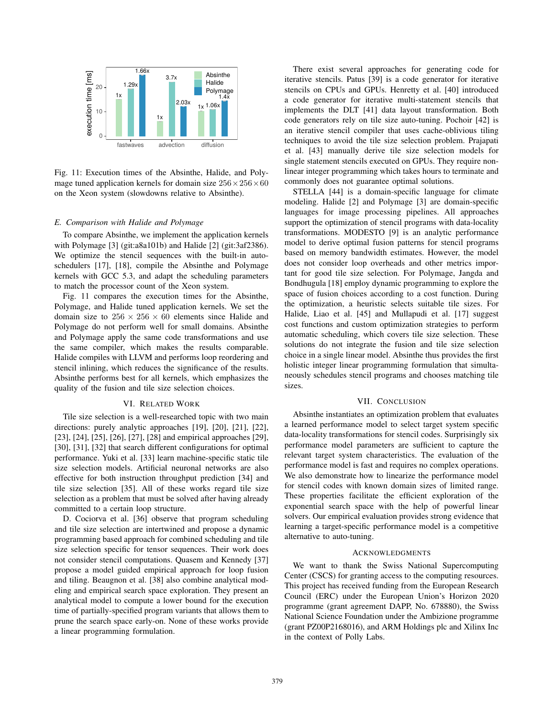

Fig. 11: Execution times of the Absinthe, Halide, and Polymage tuned application kernels for domain size  $256 \times 256 \times 60$ on the Xeon system (slowdowns relative to Absinthe).

## *E. Comparison with Halide and Polymage*

To compare Absinthe, we implement the application kernels with Polymage [3] (git:a8a101b) and Halide [2] (git:3af2386). We optimize the stencil sequences with the built-in autoschedulers [17], [18], compile the Absinthe and Polymage kernels with GCC 5.3, and adapt the scheduling parameters to match the processor count of the Xeon system.

Fig. 11 compares the execution times for the Absinthe, Polymage, and Halide tuned application kernels. We set the domain size to  $256 \times 256 \times 60$  elements since Halide and Polymage do not perform well for small domains. Absinthe and Polymage apply the same code transformations and use the same compiler, which makes the results comparable. Halide compiles with LLVM and performs loop reordering and stencil inlining, which reduces the significance of the results. Absinthe performs best for all kernels, which emphasizes the quality of the fusion and tile size selection choices.

#### VI. RELATED WORK

Tile size selection is a well-researched topic with two main directions: purely analytic approaches [19], [20], [21], [22], [23], [24], [25], [26], [27], [28] and empirical approaches [29], [30], [31], [32] that search different configurations for optimal performance. Yuki et al. [33] learn machine-specific static tile size selection models. Artificial neuronal networks are also effective for both instruction throughput prediction [34] and tile size selection [35]. All of these works regard tile size selection as a problem that must be solved after having already committed to a certain loop structure.

D. Cociorva et al. [36] observe that program scheduling and tile size selection are intertwined and propose a dynamic programming based approach for combined scheduling and tile size selection specific for tensor sequences. Their work does not consider stencil computations. Quasem and Kennedy [37] propose a model guided empirical approach for loop fusion and tiling. Beaugnon et al. [38] also combine analytical modeling and empirical search space exploration. They present an analytical model to compute a lower bound for the execution time of partially-specified program variants that allows them to prune the search space early-on. None of these works provide a linear programming formulation.

There exist several approaches for generating code for iterative stencils. Patus [39] is a code generator for iterative stencils on CPUs and GPUs. Henretty et al. [40] introduced a code generator for iterative multi-statement stencils that implements the DLT [41] data layout transformation. Both code generators rely on tile size auto-tuning. Pochoir [42] is an iterative stencil compiler that uses cache-oblivious tiling techniques to avoid the tile size selection problem. Prajapati et al. [43] manually derive tile size selection models for single statement stencils executed on GPUs. They require nonlinear integer programming which takes hours to terminate and commonly does not guarantee optimal solutions.

STELLA [44] is a domain-specific language for climate modeling. Halide [2] and Polymage [3] are domain-specific languages for image processing pipelines. All approaches support the optimization of stencil programs with data-locality transformations. MODESTO [9] is an analytic performance model to derive optimal fusion patterns for stencil programs based on memory bandwidth estimates. However, the model does not consider loop overheads and other metrics important for good tile size selection. For Polymage, Jangda and Bondhugula [18] employ dynamic programming to explore the space of fusion choices according to a cost function. During the optimization, a heuristic selects suitable tile sizes. For Halide, Liao et al. [45] and Mullapudi et al. [17] suggest cost functions and custom optimization strategies to perform automatic scheduling, which covers tile size selection. These solutions do not integrate the fusion and tile size selection choice in a single linear model. Absinthe thus provides the first holistic integer linear programming formulation that simultaneously schedules stencil programs and chooses matching tile sizes.

#### VII. CONCLUSION

Absinthe instantiates an optimization problem that evaluates a learned performance model to select target system specific data-locality transformations for stencil codes. Surprisingly six performance model parameters are sufficient to capture the relevant target system characteristics. The evaluation of the performance model is fast and requires no complex operations. We also demonstrate how to linearize the performance model for stencil codes with known domain sizes of limited range. These properties facilitate the efficient exploration of the exponential search space with the help of powerful linear solvers. Our empirical evaluation provides strong evidence that learning a target-specific performance model is a competitive alternative to auto-tuning.

## ACKNOWLEDGMENTS

We want to thank the Swiss National Supercomputing Center (CSCS) for granting access to the computing resources. This project has received funding from the European Research Council (ERC) under the European Union's Horizon 2020 programme (grant agreement DAPP, No. 678880), the Swiss National Science Foundation under the Ambizione programme (grant PZ00P2168016), and ARM Holdings plc and Xilinx Inc in the context of Polly Labs.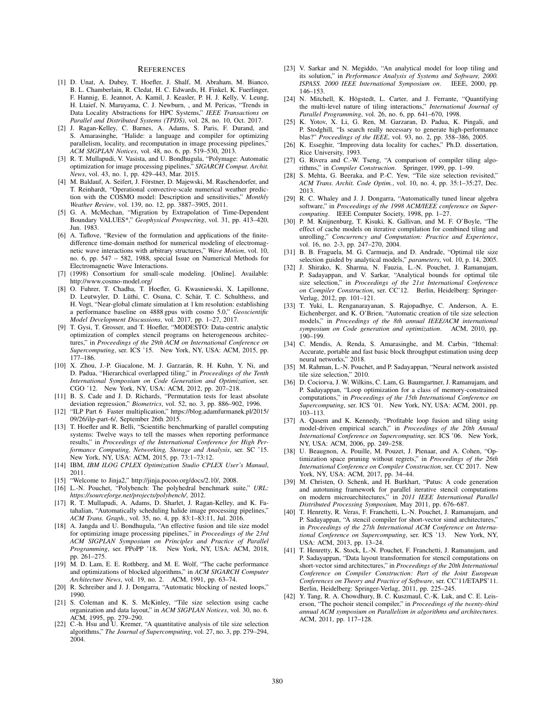#### **REFERENCES**

- [1] D. Unat, A. Dubey, T. Hoefler, J. Shalf, M. Abraham, M. Bianco, B. L. Chamberlain, R. Cledat, H. C. Edwards, H. Finkel, K. Fuerlinger, F. Hannig, E. Jeannot, A. Kamil, J. Keasler, P. H. J. Kelly, V. Leung, H. Ltaief, N. Maruyama, C. J. Newburn, , and M. Pericas, "Trends in Data Locality Abstractions for HPC Systems," *IEEE Transactions on Parallel and Distributed Systems (TPDS)*, vol. 28, no. 10, Oct. 2017.
- J. Ragan-Kelley, C. Barnes, A. Adams, S. Paris, F. Durand, and S. Amarasinghe, "Halide: a language and compiler for optimizing parallelism, locality, and recomputation in image processing pipelines, *ACM SIGPLAN Notices*, vol. 48, no. 6, pp. 519–530, 2013.
- [3] R. T. Mullapudi, V. Vasista, and U. Bondhugula, "Polymage: Automatic optimization for image processing pipelines," *SIGARCH Comput. Archit. News*, vol. 43, no. 1, pp. 429–443, Mar. 2015.
- [4] M. Baldauf, A. Seifert, J. Förstner, D. Majewski, M. Raschendorfer, and T. Reinhardt, "Operational convective-scale numerical weather prediction with the COSMO model: Description and sensitivities," *Monthly Weather Review*, vol. 139, no. 12, pp. 3887–3905, 2011.
- [5] G. A. McMechan, "Migration by Extrapolation of Time-Dependent Boundary VALUES\*," *Geophysical Prospecting*, vol. 31, pp. 413–420, Jun. 1983.
- [6] A. Taflove, "Review of the formulation and applications of the finitedifference time-domain method for numerical modeling of electromagnetic wave interactions with arbitrary structures," *Wave Motion*, vol. 10, no. 6, pp. 547 – 582, 1988, special Issue on Numerical Methods for Electromagnetic Wave Interactions.
- [7] (1998) Consortium for small-scale modeling. [Online]. Available: http://www.cosmo-model.org/
- [8] O. Fuhrer, T. Chadha, T. Hoefler, G. Kwasniewski, X. Lapillonne, D. Leutwyler, D. Lüthi, C. Osuna, C. Schär, T. C. Schulthess, and H. Vogt, "Near-global climate simulation at 1 km resolution: establishing a performance baseline on 4888 gpus with cosmo 5.0," *Geoscientific Model Development Discussions*, vol. 2017, pp. 1–27, 2017.
- [9] T. Gysi, T. Grosser, and T. Hoefler, "MODESTO: Data-centric analytic optimization of complex stencil programs on heterogeneous architectures," in *Proceedings of the 29th ACM on International Conference on Supercomputing*, ser. ICS '15. New York, NY, USA: ACM, 2015, pp. 177–186.
- [10] X. Zhou, J.-P. Giacalone, M. J. Garzarán, R. H. Kuhn, Y. Ni, and D. Padua, "Hierarchical overlapped tiling," in *Proceedings of the Tenth International Symposium on Code Generation and Optimization*, ser. CGO '12. New York, NY, USA: ACM, 2012, pp. 207–218.
- [11] B. S. Cade and J. D. Richards, "Permutation tests for least absolute deviation regression," *Biometrics*, vol. 52, no. 3, pp. 886–902, 1996.
- [12] "ILP Part 6 Faster multiplication," https://blog.adamfurmanek.pl/2015/ 09/26/ilp-part-6/, September 26th 2015.
- [13] T. Hoefler and R. Belli, "Scientific benchmarking of parallel computing systems: Twelve ways to tell the masses when reporting performance results," in *Proceedings of the International Conference for High Performance Computing, Networking, Storage and Analysis*, ser. SC '15. New York, NY, USA: ACM, 2015, pp. 73:1–73:12.
- [14] IBM, *IBM ILOG CPLEX Optimization Studio CPLEX User's Manual*, 2011.
- [15] "Welcome to Jinja2," http://jinja.pocoo.org/docs/2.10/, 2008.
- [16] L.-N. Pouchet, "Polybench: The polyhedral benchmark suite," *URL: https://sourceforge.net/projects/polybench/*, 2012.
- [17] R. T. Mullapudi, A. Adams, D. Sharlet, J. Ragan-Kelley, and K. Fatahalian, "Automatically scheduling halide image processing pipelines," *ACM Trans. Graph.*, vol. 35, no. 4, pp. 83:1–83:11, Jul. 2016.
- [18] A. Jangda and U. Bondhugula, "An effective fusion and tile size model for optimizing image processing pipelines," in *Proceedings of the 23rd ACM SIGPLAN Symposium on Principles and Practice of Parallel Programming*, ser. PPoPP '18. New York, NY, USA: ACM, 2018, pp. 261–275.
- [19] M. D. Lam, E. E. Rothberg, and M. E. Wolf, "The cache performance and optimizations of blocked algorithms," in *ACM SIGARCH Computer Architecture News*, vol. 19, no. 2. ACM, 1991, pp. 63–74.
- [20] R. Schreiber and J. J. Dongarra, "Automatic blocking of nested loops," 1990.
- [21] S. Coleman and K. S. McKinley, "Tile size selection using cache organization and data layout," in *ACM SIGPLAN Notices*, vol. 30, no. 6.
- ACM, 1995, pp. 279–290. [22] C.-h. Hsu and U. Kremer, "A quantitative analysis of tile size selection algorithms," *The Journal of Supercomputing*, vol. 27, no. 3, pp. 279–294, 2004.
- [23] V. Sarkar and N. Megiddo, "An analytical model for loop tiling and its solution," in *Performance Analysis of Systems and Software, 2000. ISPASS. 2000 IEEE International Symposium on*. IEEE, 2000, pp. 146–153.
- [24] N. Mitchell, K. Högstedt, L. Carter, and J. Ferrante, "Quantifying the multi-level nature of tiling interactions," *International Journal of Parallel Programming*, vol. 26, no. 6, pp. 641–670, 1998.
- [25] K. Yotov, X. Li, G. Ren, M. Garzaran, D. Padua, K. Pingali, and P. Stodghill, "Is search really necessary to generate high-performance blas?" *Proceedings of the IEEE*, vol. 93, no. 2, pp. 358–386, 2005.
- [26] K. Esseghir, "Improving data locality for caches," Ph.D. dissertation, Rice University, 1993.
- [27] G. Rivera and C.-W. Tseng, "A comparison of compiler tiling algorithms," in *Compiler Construction*. Springer, 1999, pp. 1–99.
- [28] S. Mehta, G. Beeraka, and P.-C. Yew, "Tile size selection revisited," *ACM Trans. Archit. Code Optim.*, vol. 10, no. 4, pp. 35:1–35:27, Dec. 2013.
- [29] R. C. Whaley and J. J. Dongarra, "Automatically tuned linear algebra software," in *Proceedings of the 1998 ACM/IEEE conference on Supercomputing*. IEEE Computer Society, 1998, pp. 1–27.
- [30] P. M. Knijnenburg, T. Kisuki, K. Gallivan, and M. F. O'Boyle, "The effect of cache models on iterative compilation for combined tiling and unrolling," *Concurrency and Computation: Practice and Experience*, vol. 16, no. 2-3, pp. 247–270, 2004.
- [31] B. B. Fraguela, M. G. Carmueja, and D. Andrade, "Optimal tile size selection guided by analytical models," *parameters*, vol. 10, p. 14, 2005.
- [32] J. Shirako, K. Sharma, N. Fauzia, L.-N. Pouchet, J. Ramanujam, P. Sadayappan, and V. Sarkar, "Analytical bounds for optimal tile size selection," in *Proceedings of the 21st International Conference on Compiler Construction*, ser. CC'12. Berlin, Heidelberg: Springer-Verlag, 2012, pp. 101–121.
- [33] T. Yuki, L. Renganarayanan, S. Rajopadhye, C. Anderson, A. E. Eichenberger, and K. O'Brien, "Automatic creation of tile size selection models," in *Proceedings of the 8th annual IEEE/ACM international symposium on Code generation and optimization*. ACM, 2010, pp. 190–199.
- [34] C. Mendis, A. Renda, S. Amarasinghe, and M. Carbin, "Ithemal: Accurate, portable and fast basic block throughput estimation using deep neural networks," 2018.
- [35] M. Rahman, L.-N. Pouchet, and P. Sadayappan, "Neural network assisted tile size selection," 2010.
- [36] D. Cociorva, J. W. Wilkins, C. Lam, G. Baumgartner, J. Ramanujam, and P. Sadayappan, "Loop optimization for a class of memory-constrained computations," in *Proceedings of the 15th International Conference on Supercomputing*, ser. ICS '01. New York, NY, USA: ACM, 2001, pp. 103–113.
- [37] A. Qasem and K. Kennedy, "Profitable loop fusion and tiling using model-driven empirical search," in *Proceedings of the 20th Annual International Conference on Supercomputing*, ser. ICS '06. New York, NY, USA: ACM, 2006, pp. 249–258.
- [38] U. Beaugnon, A. Pouille, M. Pouzet, J. Pienaar, and A. Cohen, "Optimization space pruning without regrets," in *Proceedings of the 26th International Conference on Compiler Construction*, ser. CC 2017. New York, NY, USA: ACM, 2017, pp. 34–44.
- [39] M. Christen, O. Schenk, and H. Burkhart, "Patus: A code generation and autotuning framework for parallel iterative stencil computations on modern microarchitectures," in *2011 IEEE International Parallel Distributed Processing Symposium*, May 2011, pp. 676–687.
- [40] T. Henretty, R. Veras, F. Franchetti, L.-N. Pouchet, J. Ramanujam, and P. Sadayappan, "A stencil compiler for short-vector simd architectures," in *Proceedings of the 27th International ACM Conference on International Conference on Supercomputing*, ser. ICS '13. New York, NY, USA: ACM, 2013, pp. 13–24.
- [41] T. Henretty, K. Stock, L.-N. Pouchet, F. Franchetti, J. Ramanujam, and P. Sadayappan, "Data layout transformation for stencil computations on short-vector simd architectures," in *Proceedings of the 20th International Conference on Compiler Construction: Part of the Joint European Conferences on Theory and Practice of Software*, ser. CC'11/ETAPS'11. Berlin, Heidelberg: Springer-Verlag, 2011, pp. 225–245.
- [42] Y. Tang, R. A. Chowdhury, B. C. Kuszmaul, C.-K. Luk, and C. E. Leiserson, "The pochoir stencil compiler," in *Proceedings of the twenty-third annual ACM symposium on Parallelism in algorithms and architectures*. ACM, 2011, pp. 117–128.